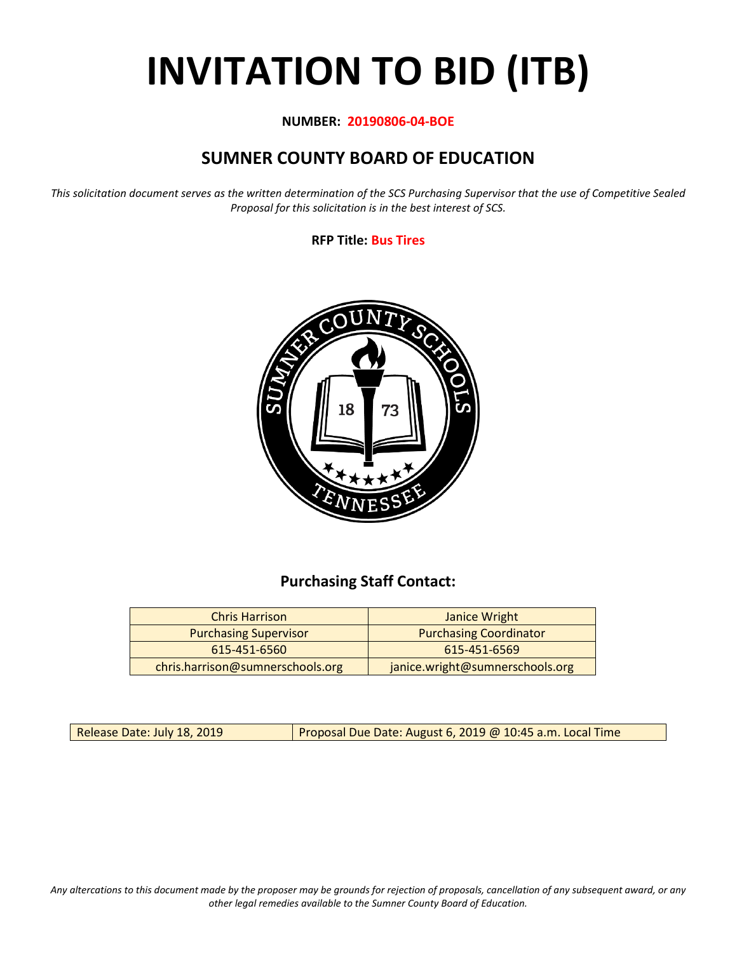# **INVITATION TO BID (ITB)**

#### **NUMBER: 20190806-04-BOE**

## **SUMNER COUNTY BOARD OF EDUCATION**

*This solicitation document serves as the written determination of the SCS Purchasing Supervisor that the use of Competitive Sealed Proposal for this solicitation is in the best interest of SCS.*

#### **RFP Title: Bus Tires**



## **Purchasing Staff Contact:**

| <b>Chris Harrison</b>            | Janice Wright                   |
|----------------------------------|---------------------------------|
| <b>Purchasing Supervisor</b>     | <b>Purchasing Coordinator</b>   |
| 615-451-6560                     | 615-451-6569                    |
| chris.harrison@sumnerschools.org | janice.wright@sumnerschools.org |

Release Date: July 18, 2019 | Proposal Due Date: August 6, 2019 @ 10:45 a.m. Local Time

*Any altercations to this document made by the proposer may be grounds for rejection of proposals, cancellation of any subsequent award, or any other legal remedies available to the Sumner County Board of Education.*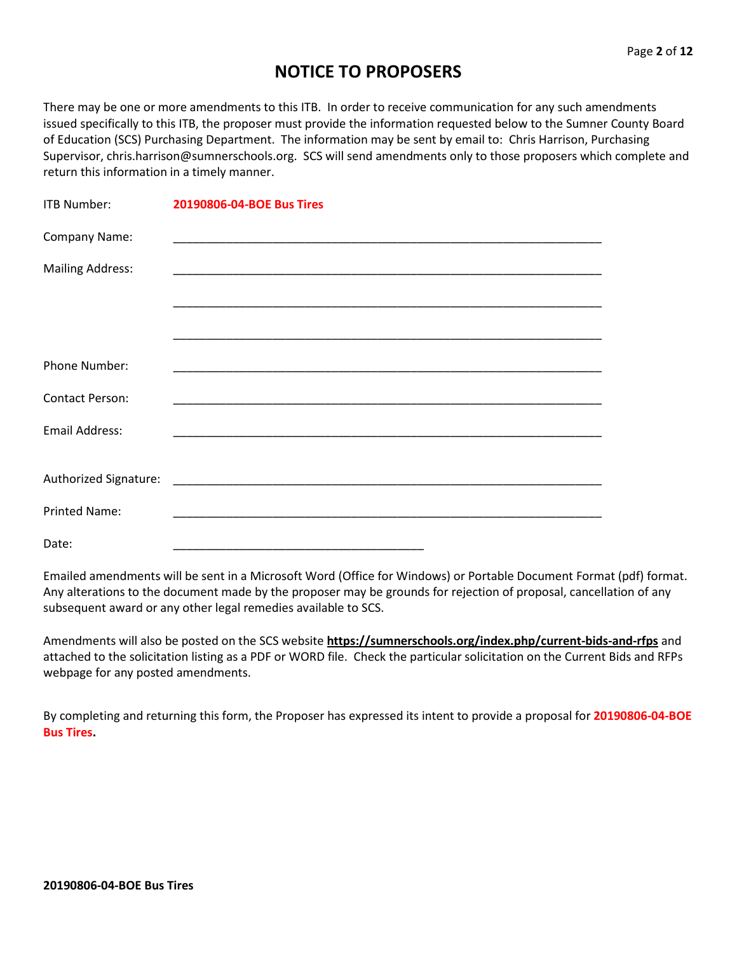## **NOTICE TO PROPOSERS**

There may be one or more amendments to this ITB. In order to receive communication for any such amendments issued specifically to this ITB, the proposer must provide the information requested below to the Sumner County Board of Education (SCS) Purchasing Department. The information may be sent by email to: Chris Harrison, Purchasing Supervisor, chris.harrison@sumnerschools.org. SCS will send amendments only to those proposers which complete and return this information in a timely manner.

| <b>ITB Number:</b>      | 20190806-04-BOE Bus Tires                                                                                            |
|-------------------------|----------------------------------------------------------------------------------------------------------------------|
| Company Name:           |                                                                                                                      |
| <b>Mailing Address:</b> |                                                                                                                      |
|                         | <u> 1989 - Andrea Santa Andrea Andrea Andrea Andrea Andrea Andrea Andrea Andrea Andrea Andrea Andrea Andrea Andr</u> |
|                         |                                                                                                                      |
| <b>Phone Number:</b>    | <u> 1980 - Johann John Stoff, deutscher Stoffen und der Stoffen und der Stoffen und der Stoffen und der Stoffen</u>  |
| <b>Contact Person:</b>  |                                                                                                                      |
| <b>Email Address:</b>   |                                                                                                                      |
|                         |                                                                                                                      |
| <b>Printed Name:</b>    |                                                                                                                      |
| Date:                   |                                                                                                                      |

Emailed amendments will be sent in a Microsoft Word (Office for Windows) or Portable Document Format (pdf) format. Any alterations to the document made by the proposer may be grounds for rejection of proposal, cancellation of any subsequent award or any other legal remedies available to SCS.

Amendments will also be posted on the SCS website **https://sumnerschools.org/index.php/current-bids-and-rfps** and attached to the solicitation listing as a PDF or WORD file. Check the particular solicitation on the Current Bids and RFPs webpage for any posted amendments.

By completing and returning this form, the Proposer has expressed its intent to provide a proposal for **20190806-04-BOE Bus Tires.**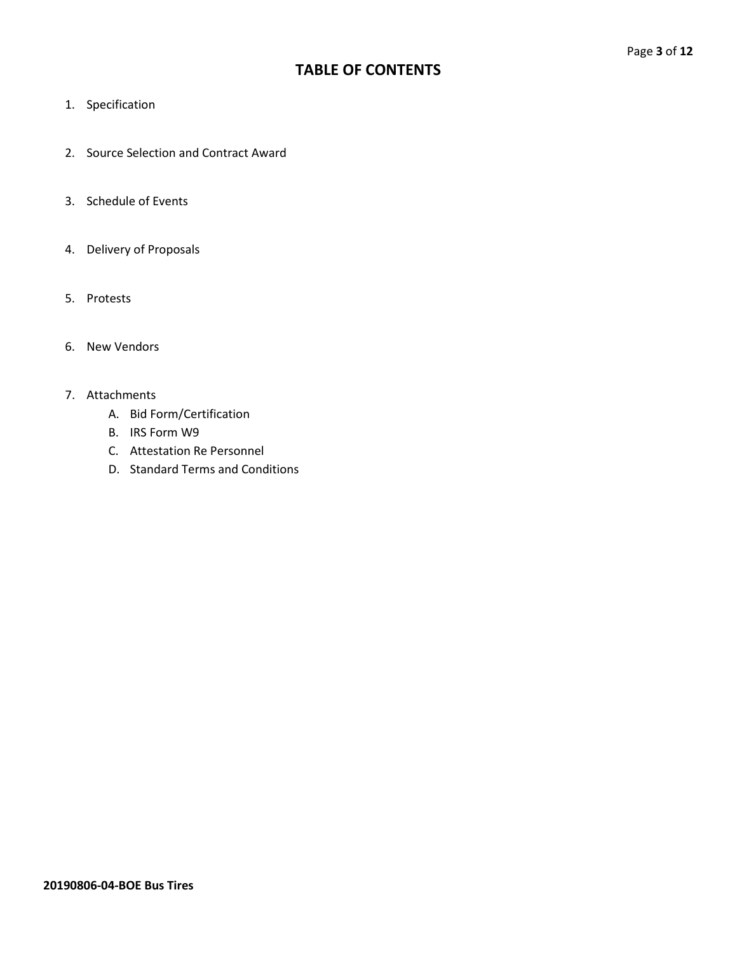## **TABLE OF CONTENTS**

- 1. Specification
- 2. Source Selection and Contract Award
- 3. Schedule of Events
- 4. Delivery of Proposals
- 5. Protests
- 6. New Vendors

#### 7. Attachments

- A. Bid Form/Certification
- B. IRS Form W9
- C. Attestation Re Personnel
- D. Standard Terms and Conditions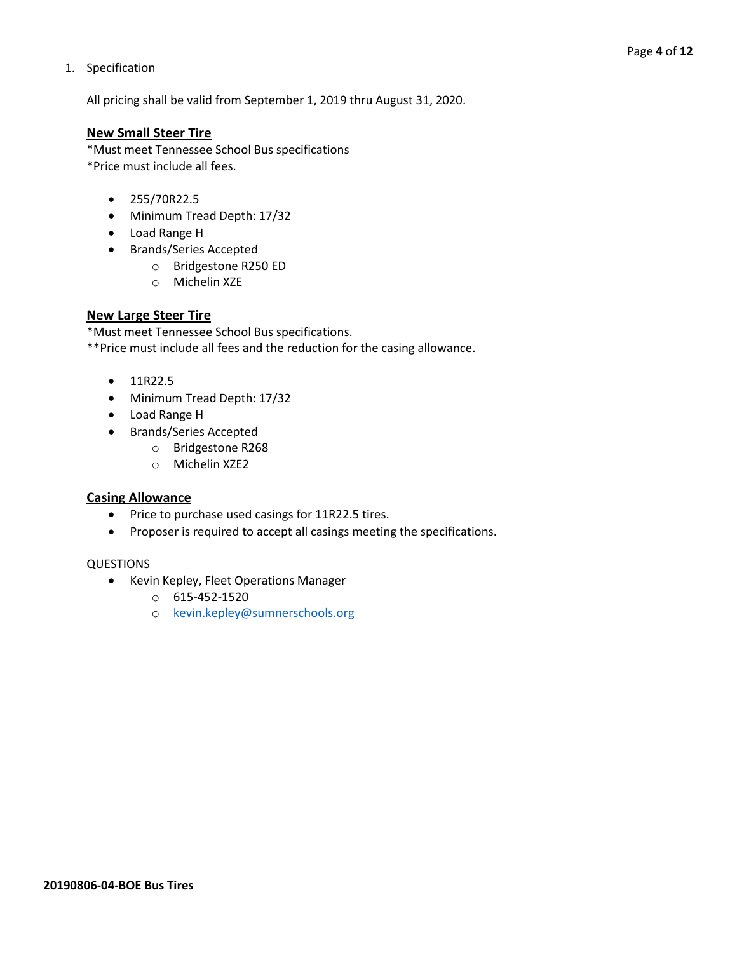#### 1. Specification

All pricing shall be valid from September 1, 2019 thru August 31, 2020.

#### **New Small Steer Tire**

\*Must meet Tennessee School Bus specifications \*Price must include all fees.

- 255/70R22.5
- Minimum Tread Depth: 17/32
- Load Range H
- Brands/Series Accepted
	- o Bridgestone R250 ED
	- o Michelin XZE

#### **New Large Steer Tire**

\*Must meet Tennessee School Bus specifications.

\*\*Price must include all fees and the reduction for the casing allowance.

- 11R22.5
- Minimum Tread Depth: 17/32
- Load Range H
- Brands/Series Accepted
	- o Bridgestone R268
	- o Michelin XZE2

#### **Casing Allowance**

- Price to purchase used casings for 11R22.5 tires.
- Proposer is required to accept all casings meeting the specifications.

#### QUESTIONS

- Kevin Kepley, Fleet Operations Manager
	- o 615-452-1520
	- o [kevin.kepley@sumnerschools.org](mailto:kevin.kepley@sumnerschools.org)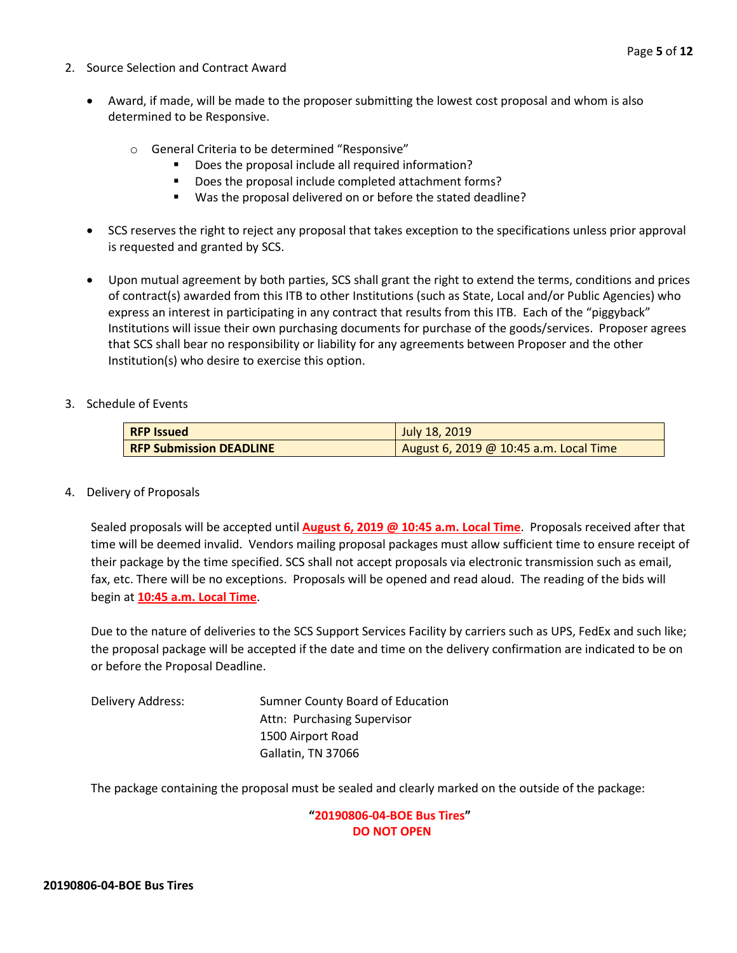- 2. Source Selection and Contract Award
	- Award, if made, will be made to the proposer submitting the lowest cost proposal and whom is also determined to be Responsive.
		- o General Criteria to be determined "Responsive"
			- Does the proposal include all required information?
			- Does the proposal include completed attachment forms?
			- Was the proposal delivered on or before the stated deadline?
	- SCS reserves the right to reject any proposal that takes exception to the specifications unless prior approval is requested and granted by SCS.
	- Upon mutual agreement by both parties, SCS shall grant the right to extend the terms, conditions and prices of contract(s) awarded from this ITB to other Institutions (such as State, Local and/or Public Agencies) who express an interest in participating in any contract that results from this ITB. Each of the "piggyback" Institutions will issue their own purchasing documents for purchase of the goods/services. Proposer agrees that SCS shall bear no responsibility or liability for any agreements between Proposer and the other Institution(s) who desire to exercise this option.
- 3. Schedule of Events

| <b>RFP Issued</b>              | July 18, 2019                          |
|--------------------------------|----------------------------------------|
| <b>RFP Submission DEADLINE</b> | August 6, 2019 @ 10:45 a.m. Local Time |

4. Delivery of Proposals

Sealed proposals will be accepted until **August 6, 2019 @ 10:45 a.m. Local Time**. Proposals received after that time will be deemed invalid. Vendors mailing proposal packages must allow sufficient time to ensure receipt of their package by the time specified. SCS shall not accept proposals via electronic transmission such as email, fax, etc. There will be no exceptions. Proposals will be opened and read aloud. The reading of the bids will begin at **10:45 a.m. Local Time**.

Due to the nature of deliveries to the SCS Support Services Facility by carriers such as UPS, FedEx and such like; the proposal package will be accepted if the date and time on the delivery confirmation are indicated to be on or before the Proposal Deadline.

| Delivery Address: | Sumner County Board of Education |
|-------------------|----------------------------------|
|                   | Attn: Purchasing Supervisor      |
|                   | 1500 Airport Road                |
|                   | Gallatin, TN 37066               |

The package containing the proposal must be sealed and clearly marked on the outside of the package:

**"20190806-04-BOE Bus Tires" DO NOT OPEN**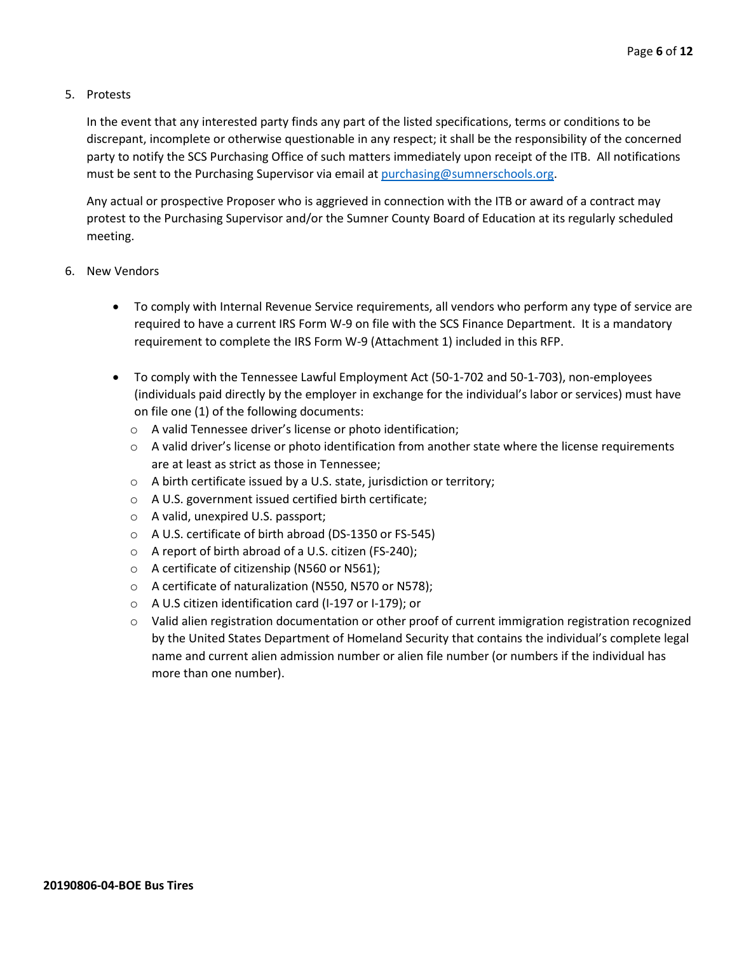#### 5. Protests

In the event that any interested party finds any part of the listed specifications, terms or conditions to be discrepant, incomplete or otherwise questionable in any respect; it shall be the responsibility of the concerned party to notify the SCS Purchasing Office of such matters immediately upon receipt of the ITB. All notifications must be sent to the Purchasing Supervisor via email at [purchasing@sumnerschools.org.](mailto:purchasing@sumnerschools.org)

Any actual or prospective Proposer who is aggrieved in connection with the ITB or award of a contract may protest to the Purchasing Supervisor and/or the Sumner County Board of Education at its regularly scheduled meeting.

- 6. New Vendors
	- To comply with Internal Revenue Service requirements, all vendors who perform any type of service are required to have a current IRS Form W-9 on file with the SCS Finance Department. It is a mandatory requirement to complete the IRS Form W-9 (Attachment 1) included in this RFP.
	- To comply with the Tennessee Lawful Employment Act (50-1-702 and 50-1-703), non-employees (individuals paid directly by the employer in exchange for the individual's labor or services) must have on file one (1) of the following documents:
		- o A valid Tennessee driver's license or photo identification;
		- $\circ$  A valid driver's license or photo identification from another state where the license requirements are at least as strict as those in Tennessee;
		- o A birth certificate issued by a U.S. state, jurisdiction or territory;
		- o A U.S. government issued certified birth certificate;
		- o A valid, unexpired U.S. passport;
		- o A U.S. certificate of birth abroad (DS-1350 or FS-545)
		- o A report of birth abroad of a U.S. citizen (FS-240);
		- o A certificate of citizenship (N560 or N561);
		- o A certificate of naturalization (N550, N570 or N578);
		- o A U.S citizen identification card (I-197 or I-179); or
		- o Valid alien registration documentation or other proof of current immigration registration recognized by the United States Department of Homeland Security that contains the individual's complete legal name and current alien admission number or alien file number (or numbers if the individual has more than one number).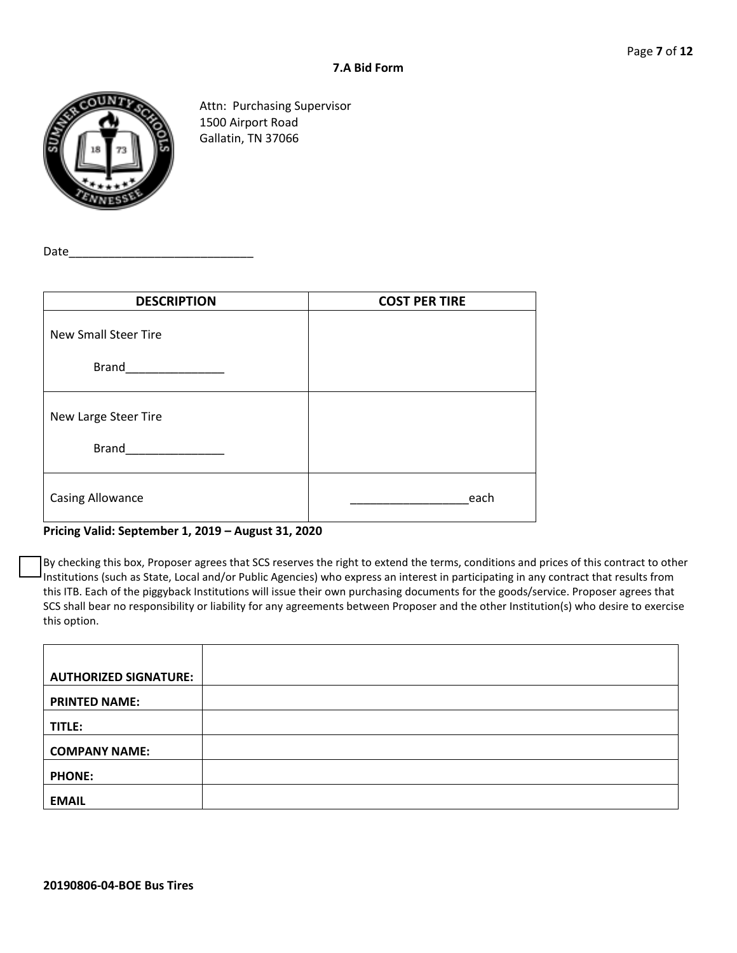

Attn: Purchasing Supervisor 1500 Airport Road Gallatin, TN 37066

Date\_

| <b>DESCRIPTION</b>          | <b>COST PER TIRE</b> |
|-----------------------------|----------------------|
| <b>New Small Steer Tire</b> |                      |
| <b>Brand</b>                |                      |
| New Large Steer Tire        |                      |
| <b>Brand</b>                |                      |
| <b>Casing Allowance</b>     | each                 |

#### **Pricing Valid: September 1, 2019 – August 31, 2020**

By checking this box, Proposer agrees that SCS reserves the right to extend the terms, conditions and prices of this contract to other Institutions (such as State, Local and/or Public Agencies) who express an interest in participating in any contract that results from this ITB. Each of the piggyback Institutions will issue their own purchasing documents for the goods/service. Proposer agrees that SCS shall bear no responsibility or liability for any agreements between Proposer and the other Institution(s) who desire to exercise this option.

| <b>AUTHORIZED SIGNATURE:</b> |  |
|------------------------------|--|
| <b>PRINTED NAME:</b>         |  |
| TITLE:                       |  |
| <b>COMPANY NAME:</b>         |  |
| <b>PHONE:</b>                |  |
| <b>EMAIL</b>                 |  |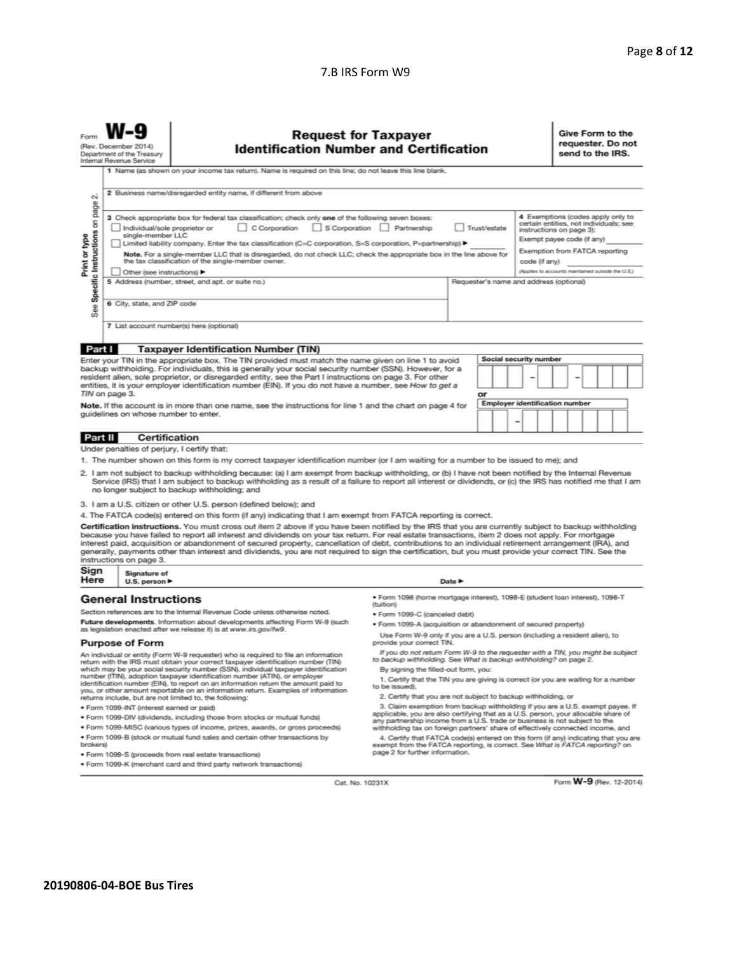#### 7.B IRS Form W9

| Form                                                                                                                                                                                                                                                                                                                                                                                                                                                                                                                                                                                                                                                     | <b>Request for Taxpayer</b><br>(Rev. December 2014)<br><b>Identification Number and Certification</b><br>Department of the Treasury<br>Internal Revenue Service |                                   |                                                                                                                                                                          |                                                                                                                                                      | Give Form to the<br>requester. Do not<br>send to the IRS. |                        |                                                   |
|----------------------------------------------------------------------------------------------------------------------------------------------------------------------------------------------------------------------------------------------------------------------------------------------------------------------------------------------------------------------------------------------------------------------------------------------------------------------------------------------------------------------------------------------------------------------------------------------------------------------------------------------------------|-----------------------------------------------------------------------------------------------------------------------------------------------------------------|-----------------------------------|--------------------------------------------------------------------------------------------------------------------------------------------------------------------------|------------------------------------------------------------------------------------------------------------------------------------------------------|-----------------------------------------------------------|------------------------|---------------------------------------------------|
|                                                                                                                                                                                                                                                                                                                                                                                                                                                                                                                                                                                                                                                          | 1 Name (as shown on your income tax return). Name is required on this line; do not leave this line blank.                                                       |                                   |                                                                                                                                                                          |                                                                                                                                                      |                                                           |                        |                                                   |
| οú<br>page                                                                                                                                                                                                                                                                                                                                                                                                                                                                                                                                                                                                                                               | 2 Business name/disregarded entity name, if different from above                                                                                                |                                   |                                                                                                                                                                          |                                                                                                                                                      |                                                           |                        |                                                   |
| 3 Check appropriate box for federal tax classification; check only one of the following seven boxes:<br>Specific Instructions on<br>S Corporation<br>C Corporation<br>Partnership<br>Trust/estate<br>Individual/sole proprietor or<br>single-member LLC                                                                                                                                                                                                                                                                                                                                                                                                  |                                                                                                                                                                 |                                   |                                                                                                                                                                          | 4 Exemptions (codes apply only to<br>certain entities, not individuals; see<br>instructions on page 3):                                              |                                                           |                        |                                                   |
| Exempt payee code (if any)<br>Limited liability company. Enter the tax classification (C=C corporation, S=S corporation, P=partnership) ▶<br>Exemption from FATCA reporting                                                                                                                                                                                                                                                                                                                                                                                                                                                                              |                                                                                                                                                                 |                                   |                                                                                                                                                                          |                                                                                                                                                      |                                                           |                        |                                                   |
| Print or type<br>Note. For a single-member LLC that is disregarded, do not check LLC; check the appropriate box in the line above for<br>the tax classification of the single-member owner.<br>code (if any)                                                                                                                                                                                                                                                                                                                                                                                                                                             |                                                                                                                                                                 |                                   |                                                                                                                                                                          |                                                                                                                                                      |                                                           |                        |                                                   |
|                                                                                                                                                                                                                                                                                                                                                                                                                                                                                                                                                                                                                                                          |                                                                                                                                                                 | Other (see instructions)          |                                                                                                                                                                          |                                                                                                                                                      |                                                           |                        | (Applies to accounts maintained outside the U.S.) |
|                                                                                                                                                                                                                                                                                                                                                                                                                                                                                                                                                                                                                                                          |                                                                                                                                                                 |                                   | 5 Address (number, street, and apt. or suite no.)                                                                                                                        |                                                                                                                                                      | Requester's name and address (optional)                   |                        |                                                   |
| See:                                                                                                                                                                                                                                                                                                                                                                                                                                                                                                                                                                                                                                                     |                                                                                                                                                                 | 6 City, state, and ZIP code       |                                                                                                                                                                          |                                                                                                                                                      |                                                           |                        |                                                   |
|                                                                                                                                                                                                                                                                                                                                                                                                                                                                                                                                                                                                                                                          |                                                                                                                                                                 |                                   | 7 List account number(s) here (optional)                                                                                                                                 |                                                                                                                                                      |                                                           |                        |                                                   |
| Part I                                                                                                                                                                                                                                                                                                                                                                                                                                                                                                                                                                                                                                                   |                                                                                                                                                                 |                                   | <b>Taxpayer Identification Number (TIN)</b>                                                                                                                              |                                                                                                                                                      |                                                           |                        |                                                   |
|                                                                                                                                                                                                                                                                                                                                                                                                                                                                                                                                                                                                                                                          |                                                                                                                                                                 |                                   | Enter your TIN in the appropriate box. The TIN provided must match the name given on line 1 to avoid                                                                     |                                                                                                                                                      |                                                           | Social security number |                                                   |
| backup withholding. For individuals, this is generally your social security number (SSN). However, for a<br>resident alien, sole proprietor, or disregarded entity, see the Part I instructions on page 3. For other<br>entities, it is your employer identification number (EIN). If you do not have a number, see How to get a                                                                                                                                                                                                                                                                                                                         |                                                                                                                                                                 |                                   |                                                                                                                                                                          |                                                                                                                                                      |                                                           |                        |                                                   |
|                                                                                                                                                                                                                                                                                                                                                                                                                                                                                                                                                                                                                                                          | TIN on page 3.                                                                                                                                                  |                                   |                                                                                                                                                                          |                                                                                                                                                      | or                                                        |                        |                                                   |
| <b>Employer identification number</b><br>Note. If the account is in more than one name, see the instructions for line 1 and the chart on page 4 for<br>guidelines on whose number to enter.<br>$\overline{\phantom{0}}$                                                                                                                                                                                                                                                                                                                                                                                                                                  |                                                                                                                                                                 |                                   |                                                                                                                                                                          |                                                                                                                                                      |                                                           |                        |                                                   |
| Part II                                                                                                                                                                                                                                                                                                                                                                                                                                                                                                                                                                                                                                                  |                                                                                                                                                                 | Certification                     |                                                                                                                                                                          |                                                                                                                                                      |                                                           |                        |                                                   |
|                                                                                                                                                                                                                                                                                                                                                                                                                                                                                                                                                                                                                                                          |                                                                                                                                                                 |                                   | Under penalties of perjury, I certify that:                                                                                                                              |                                                                                                                                                      |                                                           |                        |                                                   |
|                                                                                                                                                                                                                                                                                                                                                                                                                                                                                                                                                                                                                                                          |                                                                                                                                                                 |                                   | 1. The number shown on this form is my correct taxpayer identification number (or I am waiting for a number to be issued to me); and                                     |                                                                                                                                                      |                                                           |                        |                                                   |
| 2. I am not subject to backup withholding because: (a) I am exempt from backup withholding, or (b) I have not been notified by the Internal Revenue<br>Service (IRS) that I am subject to backup withholding as a result of a failure to report all interest or dividends, or (c) the IRS has notified me that I am<br>no longer subject to backup withholding; and                                                                                                                                                                                                                                                                                      |                                                                                                                                                                 |                                   |                                                                                                                                                                          |                                                                                                                                                      |                                                           |                        |                                                   |
|                                                                                                                                                                                                                                                                                                                                                                                                                                                                                                                                                                                                                                                          |                                                                                                                                                                 |                                   | 3. I am a U.S. citizen or other U.S. person (defined below); and                                                                                                         |                                                                                                                                                      |                                                           |                        |                                                   |
|                                                                                                                                                                                                                                                                                                                                                                                                                                                                                                                                                                                                                                                          |                                                                                                                                                                 |                                   | 4. The FATCA code(s) entered on this form (if any) indicating that I am exempt from FATCA reporting is correct.                                                          |                                                                                                                                                      |                                                           |                        |                                                   |
| Certification instructions. You must cross out item 2 above if you have been notified by the IRS that you are currently subject to backup withholding<br>because you have failed to report all interest and dividends on your tax return. For real estate transactions, item 2 does not apply. For mortgage<br>interest paid, acquisition or abandonment of secured property, cancellation of debt, contributions to an individual retirement arrangement (IRA), and<br>generally, payments other than interest and dividends, you are not required to sign the certification, but you must provide your correct TIN. See the<br>instructions on page 3. |                                                                                                                                                                 |                                   |                                                                                                                                                                          |                                                                                                                                                      |                                                           |                        |                                                   |
| Sign                                                                                                                                                                                                                                                                                                                                                                                                                                                                                                                                                                                                                                                     |                                                                                                                                                                 | Signature of                      |                                                                                                                                                                          |                                                                                                                                                      |                                                           |                        |                                                   |
| Here                                                                                                                                                                                                                                                                                                                                                                                                                                                                                                                                                                                                                                                     |                                                                                                                                                                 | U.S. person $\blacktriangleright$ |                                                                                                                                                                          |                                                                                                                                                      | Date P                                                    |                        |                                                   |
|                                                                                                                                                                                                                                                                                                                                                                                                                                                                                                                                                                                                                                                          |                                                                                                                                                                 | <b>General Instructions</b>       |                                                                                                                                                                          | · Form 1098 (home mortgage interest), 1098-E (student Ioan interest), 1098-T<br>(tuition)                                                            |                                                           |                        |                                                   |
|                                                                                                                                                                                                                                                                                                                                                                                                                                                                                                                                                                                                                                                          |                                                                                                                                                                 |                                   | Section references are to the Internal Revenue Code unless otherwise noted.<br>Future developments. Information about developments affecting Form W-9 (such              | · Form 1099-C (canceled debt)                                                                                                                        |                                                           |                        |                                                   |
|                                                                                                                                                                                                                                                                                                                                                                                                                                                                                                                                                                                                                                                          |                                                                                                                                                                 |                                   | as legislation enacted after we release it) is at www.irs.gov/fw9.                                                                                                       | · Form 1099-A (acquisition or abandonment of secured property)<br>Use Form W-9 only if you are a U.S. person (including a resident alien), to        |                                                           |                        |                                                   |
|                                                                                                                                                                                                                                                                                                                                                                                                                                                                                                                                                                                                                                                          |                                                                                                                                                                 | <b>Purpose of Form</b>            |                                                                                                                                                                          | provide your correct TIN.                                                                                                                            |                                                           |                        |                                                   |
|                                                                                                                                                                                                                                                                                                                                                                                                                                                                                                                                                                                                                                                          |                                                                                                                                                                 |                                   | An individual or entity (Form W-9 requester) who is required to file an information<br>return with the IRS must obtain your correct taxpayer identification number (TIN) | If you do not return Form W-9 to the requester with a TIN, you might be subject<br>to backup withholding. See What is backup withholding? on page 2. |                                                           |                        |                                                   |
| which may be your social security number (SSN), individual taxpayer identification<br>number (ITIN), adoption taxpayer identification number (ATIN), or employer<br>identification number (EIN), to report on an information return the amount paid to                                                                                                                                                                                                                                                                                                                                                                                                   |                                                                                                                                                                 |                                   |                                                                                                                                                                          | By signing the filled-out form, you:<br>1. Certify that the TIN you are giving is correct (or you are waiting for a number<br>to be issued).         |                                                           |                        |                                                   |

identification number (EIN), to report on an information return the amount paid to<br>you, or other amount reportable on an information return. Examples of information<br>returns include, but are not limited to, the following:

· Form 1099-INT (interest earned or paid)

- . Form 1099-DIV (dividends, including those from stocks or mutual funds)
- · Form 1099-MISC (various types of income, prizes, awards, or gross proceeds) . Form 1099-B (stock or mutual fund sales and certain other transactions by brokers)
- · Form 1099-S (proceeds from real estate transactions)
- · Form 1099-K (merchant card and third party network transactions)
- 2. Certify that you are not subject to backup withholding, or
- 2. Certify that you are not subject to backup withholding, or<br>3. Claim exemption from backup withholding if you are a U.S. exempt payee. If<br>applicable, you are also certifying that as a U.S. person, your allocable share of

withholding tax on foreign partners' share of effectively connected income, and<br>4. Certify that FATCA code(s) entered on this form (if any) indicating that you are<br>exempt from the FATCA reporting, is correct. See What is F

Cat. No. 10231X

Form W-9 (Rev. 12-2014)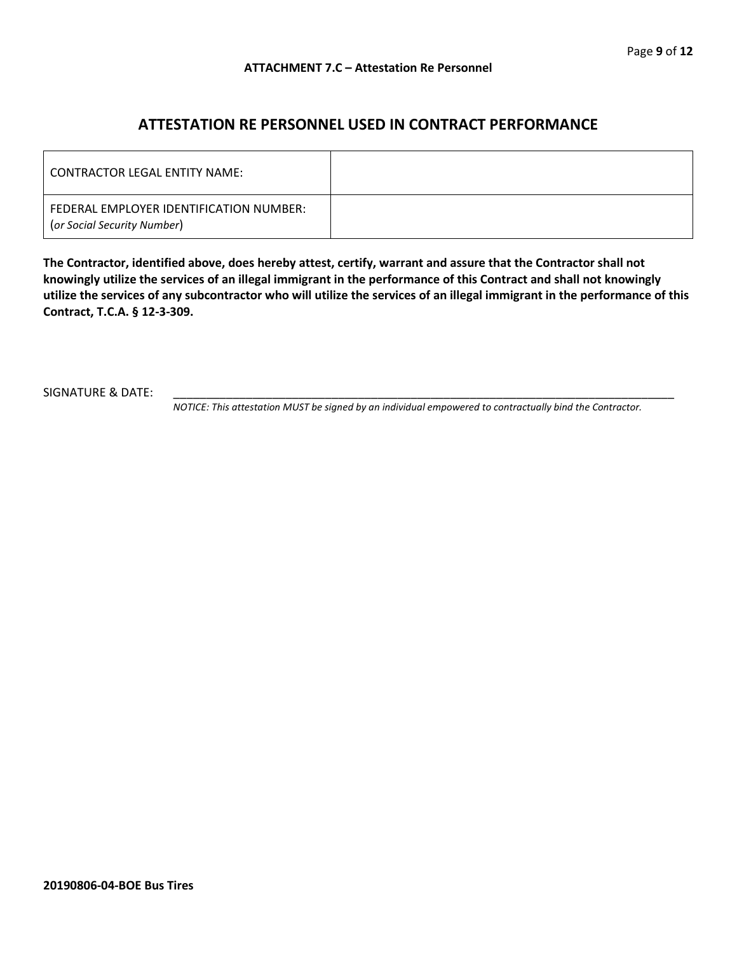### **ATTESTATION RE PERSONNEL USED IN CONTRACT PERFORMANCE**

| LCONTRACTOR LEGAL ENTITY NAME:                                         |  |
|------------------------------------------------------------------------|--|
| FEDERAL EMPLOYER IDENTIFICATION NUMBER:<br>(or Social Security Number) |  |

**The Contractor, identified above, does hereby attest, certify, warrant and assure that the Contractor shall not knowingly utilize the services of an illegal immigrant in the performance of this Contract and shall not knowingly utilize the services of any subcontractor who will utilize the services of an illegal immigrant in the performance of this Contract, T.C.A. § 12-3-309.**

SIGNATURE & DATE:

*NOTICE: This attestation MUST be signed by an individual empowered to contractually bind the Contractor.*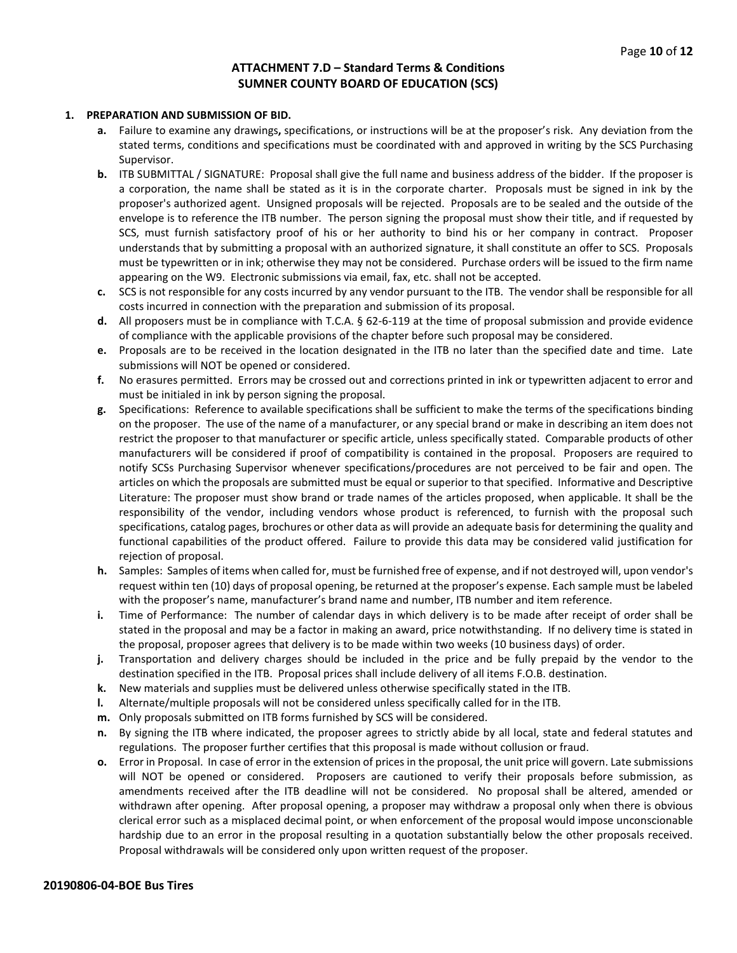#### **ATTACHMENT 7.D – Standard Terms & Conditions SUMNER COUNTY BOARD OF EDUCATION (SCS)**

#### **1. PREPARATION AND SUBMISSION OF BID.**

- **a.** Failure to examine any drawings**,** specifications, or instructions will be at the proposer's risk. Any deviation from the stated terms, conditions and specifications must be coordinated with and approved in writing by the SCS Purchasing Supervisor.
- **b.** ITB SUBMITTAL / SIGNATURE: Proposal shall give the full name and business address of the bidder. If the proposer is a corporation, the name shall be stated as it is in the corporate charter. Proposals must be signed in ink by the proposer's authorized agent. Unsigned proposals will be rejected. Proposals are to be sealed and the outside of the envelope is to reference the ITB number. The person signing the proposal must show their title, and if requested by SCS, must furnish satisfactory proof of his or her authority to bind his or her company in contract. Proposer understands that by submitting a proposal with an authorized signature, it shall constitute an offer to SCS. Proposals must be typewritten or in ink; otherwise they may not be considered. Purchase orders will be issued to the firm name appearing on the W9. Electronic submissions via email, fax, etc. shall not be accepted.
- **c.** SCS is not responsible for any costs incurred by any vendor pursuant to the ITB. The vendor shall be responsible for all costs incurred in connection with the preparation and submission of its proposal.
- **d.** All proposers must be in compliance with T.C.A. § 62-6-119 at the time of proposal submission and provide evidence of compliance with the applicable provisions of the chapter before such proposal may be considered.
- **e.** Proposals are to be received in the location designated in the ITB no later than the specified date and time. Late submissions will NOT be opened or considered.
- **f.** No erasures permitted. Errors may be crossed out and corrections printed in ink or typewritten adjacent to error and must be initialed in ink by person signing the proposal.
- **g.** Specifications: Reference to available specifications shall be sufficient to make the terms of the specifications binding on the proposer. The use of the name of a manufacturer, or any special brand or make in describing an item does not restrict the proposer to that manufacturer or specific article, unless specifically stated. Comparable products of other manufacturers will be considered if proof of compatibility is contained in the proposal. Proposers are required to notify SCSs Purchasing Supervisor whenever specifications/procedures are not perceived to be fair and open. The articles on which the proposals are submitted must be equal or superior to that specified. Informative and Descriptive Literature: The proposer must show brand or trade names of the articles proposed, when applicable. It shall be the responsibility of the vendor, including vendors whose product is referenced, to furnish with the proposal such specifications, catalog pages, brochures or other data as will provide an adequate basis for determining the quality and functional capabilities of the product offered. Failure to provide this data may be considered valid justification for rejection of proposal.
- **h.** Samples: Samples of items when called for, must be furnished free of expense, and if not destroyed will, upon vendor's request within ten (10) days of proposal opening, be returned at the proposer's expense. Each sample must be labeled with the proposer's name, manufacturer's brand name and number, ITB number and item reference.
- **i.** Time of Performance: The number of calendar days in which delivery is to be made after receipt of order shall be stated in the proposal and may be a factor in making an award, price notwithstanding. If no delivery time is stated in the proposal, proposer agrees that delivery is to be made within two weeks (10 business days) of order.
- **j.** Transportation and delivery charges should be included in the price and be fully prepaid by the vendor to the destination specified in the ITB. Proposal prices shall include delivery of all items F.O.B. destination.
- **k.** New materials and supplies must be delivered unless otherwise specifically stated in the ITB.
- **l.** Alternate/multiple proposals will not be considered unless specifically called for in the ITB.
- **m.** Only proposals submitted on ITB forms furnished by SCS will be considered.
- **n.** By signing the ITB where indicated, the proposer agrees to strictly abide by all local, state and federal statutes and regulations. The proposer further certifies that this proposal is made without collusion or fraud.
- **o.** Error in Proposal. In case of error in the extension of prices in the proposal, the unit price will govern. Late submissions will NOT be opened or considered. Proposers are cautioned to verify their proposals before submission, as amendments received after the ITB deadline will not be considered. No proposal shall be altered, amended or withdrawn after opening. After proposal opening, a proposer may withdraw a proposal only when there is obvious clerical error such as a misplaced decimal point, or when enforcement of the proposal would impose unconscionable hardship due to an error in the proposal resulting in a quotation substantially below the other proposals received. Proposal withdrawals will be considered only upon written request of the proposer.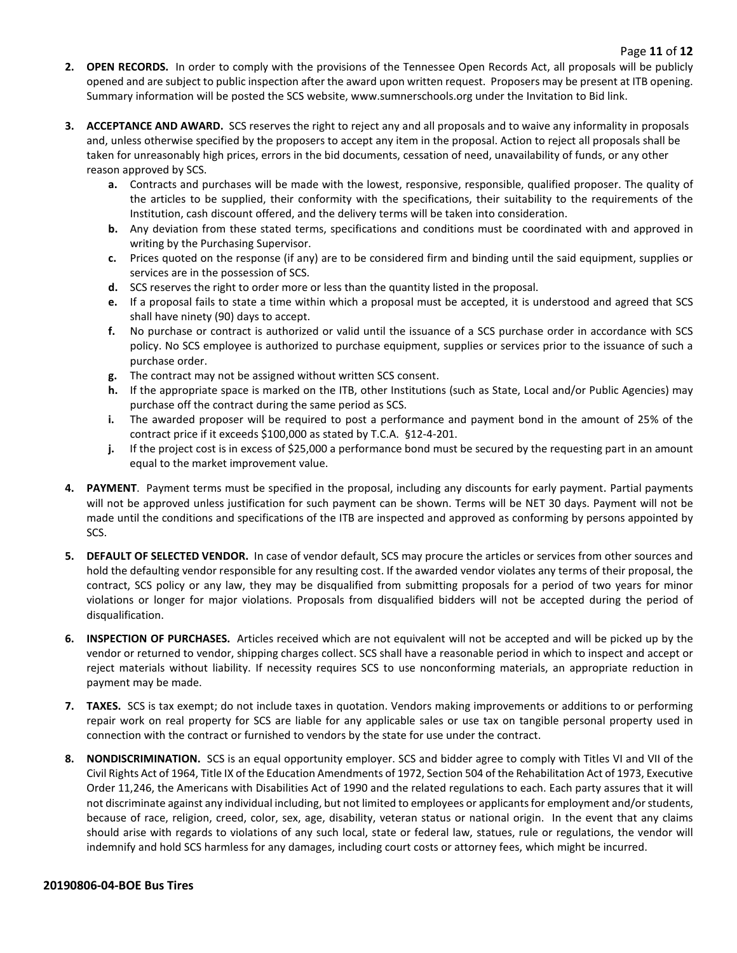- **2. OPEN RECORDS.** In order to comply with the provisions of the Tennessee Open Records Act, all proposals will be publicly opened and are subject to public inspection after the award upon written request. Proposers may be present at ITB opening. Summary information will be posted the SCS website, www.sumnerschools.org under the Invitation to Bid link.
- **3. ACCEPTANCE AND AWARD.** SCS reserves the right to reject any and all proposals and to waive any informality in proposals and, unless otherwise specified by the proposers to accept any item in the proposal. Action to reject all proposals shall be taken for unreasonably high prices, errors in the bid documents, cessation of need, unavailability of funds, or any other reason approved by SCS.
	- **a.** Contracts and purchases will be made with the lowest, responsive, responsible, qualified proposer. The quality of the articles to be supplied, their conformity with the specifications, their suitability to the requirements of the Institution, cash discount offered, and the delivery terms will be taken into consideration.
	- **b.** Any deviation from these stated terms, specifications and conditions must be coordinated with and approved in writing by the Purchasing Supervisor.
	- **c.** Prices quoted on the response (if any) are to be considered firm and binding until the said equipment, supplies or services are in the possession of SCS.
	- **d.** SCS reserves the right to order more or less than the quantity listed in the proposal.
	- **e.** If a proposal fails to state a time within which a proposal must be accepted, it is understood and agreed that SCS shall have ninety (90) days to accept.
	- **f.** No purchase or contract is authorized or valid until the issuance of a SCS purchase order in accordance with SCS policy. No SCS employee is authorized to purchase equipment, supplies or services prior to the issuance of such a purchase order.
	- **g.** The contract may not be assigned without written SCS consent.
	- **h.** If the appropriate space is marked on the ITB, other Institutions (such as State, Local and/or Public Agencies) may purchase off the contract during the same period as SCS.
	- **i.** The awarded proposer will be required to post a performance and payment bond in the amount of 25% of the contract price if it exceeds \$100,000 as stated by T.C.A. §12-4-201.
	- **j.** If the project cost is in excess of \$25,000 a performance bond must be secured by the requesting part in an amount equal to the market improvement value.
- **4. PAYMENT**. Payment terms must be specified in the proposal, including any discounts for early payment. Partial payments will not be approved unless justification for such payment can be shown. Terms will be NET 30 days. Payment will not be made until the conditions and specifications of the ITB are inspected and approved as conforming by persons appointed by SCS.
- **5. DEFAULT OF SELECTED VENDOR.** In case of vendor default, SCS may procure the articles or services from other sources and hold the defaulting vendor responsible for any resulting cost. If the awarded vendor violates any terms of their proposal, the contract, SCS policy or any law, they may be disqualified from submitting proposals for a period of two years for minor violations or longer for major violations. Proposals from disqualified bidders will not be accepted during the period of disqualification.
- **6. INSPECTION OF PURCHASES.** Articles received which are not equivalent will not be accepted and will be picked up by the vendor or returned to vendor, shipping charges collect. SCS shall have a reasonable period in which to inspect and accept or reject materials without liability. If necessity requires SCS to use nonconforming materials, an appropriate reduction in payment may be made.
- **7. TAXES.** SCS is tax exempt; do not include taxes in quotation. Vendors making improvements or additions to or performing repair work on real property for SCS are liable for any applicable sales or use tax on tangible personal property used in connection with the contract or furnished to vendors by the state for use under the contract.
- **8. NONDISCRIMINATION.** SCS is an equal opportunity employer. SCS and bidder agree to comply with Titles VI and VII of the Civil Rights Act of 1964, Title IX of the Education Amendments of 1972, Section 504 of the Rehabilitation Act of 1973, Executive Order 11,246, the Americans with Disabilities Act of 1990 and the related regulations to each. Each party assures that it will not discriminate against any individual including, but not limited to employees or applicants for employment and/or students, because of race, religion, creed, color, sex, age, disability, veteran status or national origin. In the event that any claims should arise with regards to violations of any such local, state or federal law, statues, rule or regulations, the vendor will indemnify and hold SCS harmless for any damages, including court costs or attorney fees, which might be incurred.